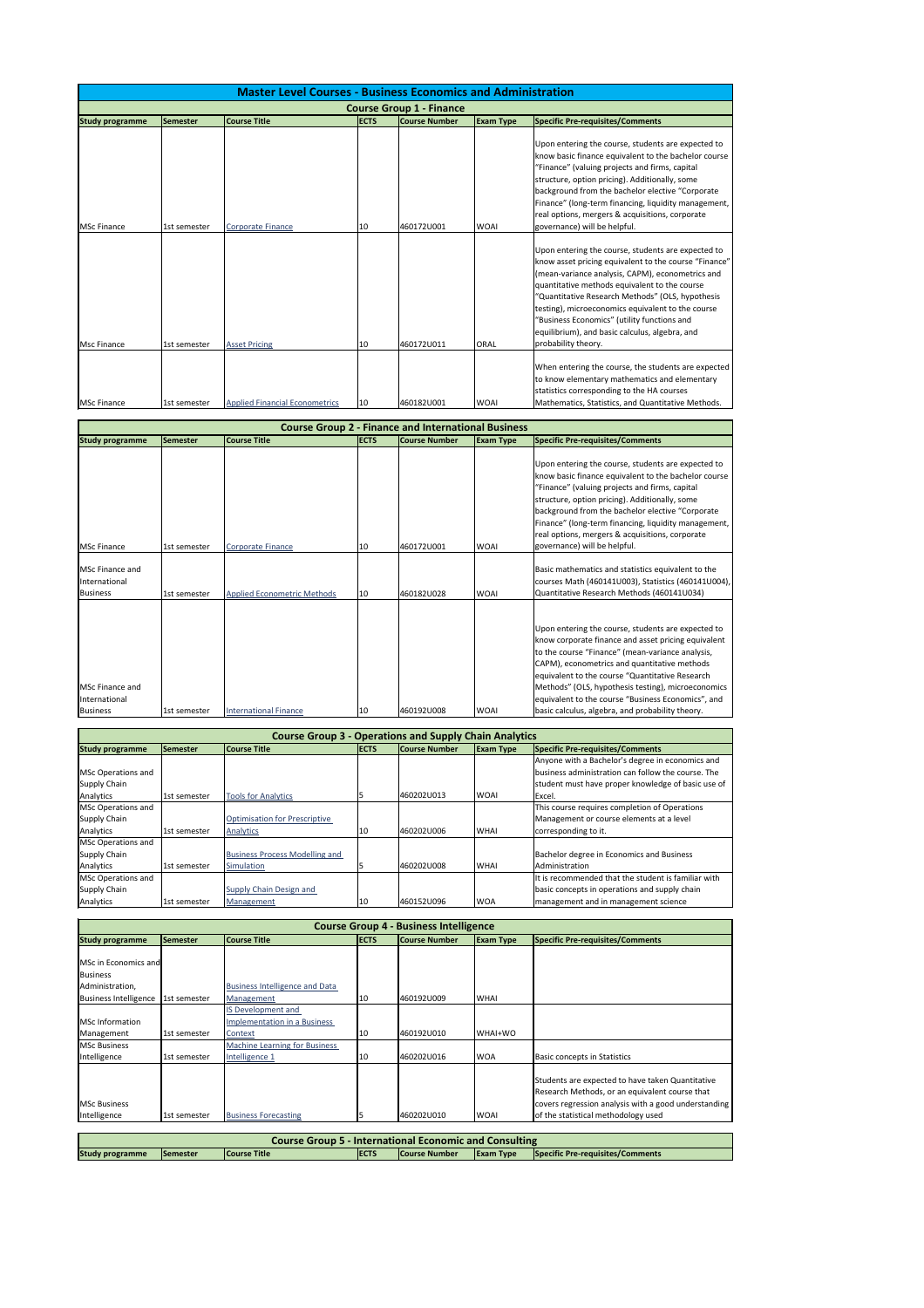|                                 | <b>Master Level Courses - Business Economics and Administration</b> |                                       |             |                      |                  |                                                                                                                                                                                                                                                                                                                                                                                                                                                   |  |  |  |
|---------------------------------|---------------------------------------------------------------------|---------------------------------------|-------------|----------------------|------------------|---------------------------------------------------------------------------------------------------------------------------------------------------------------------------------------------------------------------------------------------------------------------------------------------------------------------------------------------------------------------------------------------------------------------------------------------------|--|--|--|
| <b>Course Group 1 - Finance</b> |                                                                     |                                       |             |                      |                  |                                                                                                                                                                                                                                                                                                                                                                                                                                                   |  |  |  |
| <b>Study programme</b>          | Semester                                                            | <b>Course Title</b>                   | <b>ECTS</b> | <b>Course Number</b> | <b>Exam Type</b> | <b>Specific Pre-requisites/Comments</b>                                                                                                                                                                                                                                                                                                                                                                                                           |  |  |  |
| <b>MSc Finance</b>              | 1st semester                                                        | <b>Corporate Finance</b>              | 10          | 460172U001           | <b>WOAI</b>      | Upon entering the course, students are expected to<br>know basic finance equivalent to the bachelor course<br>"Finance" (valuing projects and firms, capital<br>structure, option pricing). Additionally, some<br>background from the bachelor elective "Corporate<br>Finance" (long-term financing, liquidity management,<br>real options, mergers & acquisitions, corporate<br>governance) will be helpful.                                     |  |  |  |
| Msc Finance                     | 1st semester                                                        | <b>Asset Pricing</b>                  | 10          | 460172U011           | <b>ORAL</b>      | Upon entering the course, students are expected to<br>know asset pricing equivalent to the course "Finance"<br>(mean-variance analysis, CAPM), econometrics and<br>quantitative methods equivalent to the course<br>"Quantitative Research Methods" (OLS, hypothesis<br>testing), microeconomics equivalent to the course<br>"Business Economics" (utility functions and<br>equilibrium), and basic calculus, algebra, and<br>probability theory. |  |  |  |
| <b>MSc Finance</b>              | 1st semester                                                        | <b>Applied Financial Econometrics</b> | 10          | 460182U001           | <b>WOAI</b>      | When entering the course, the students are expected<br>to know elementary mathematics and elementary<br>statistics corresponding to the HA courses<br>Mathematics, Statistics, and Quantitative Methods.                                                                                                                                                                                                                                          |  |  |  |

|                                                      | <b>Course Group 2 - Finance and International Business</b> |                                    |             |                      |                  |                                                                                                                                                                                                                                                                                                                                                                                                                                  |  |  |  |  |
|------------------------------------------------------|------------------------------------------------------------|------------------------------------|-------------|----------------------|------------------|----------------------------------------------------------------------------------------------------------------------------------------------------------------------------------------------------------------------------------------------------------------------------------------------------------------------------------------------------------------------------------------------------------------------------------|--|--|--|--|
| <b>Study programme</b>                               | Semester                                                   | <b>Course Title</b>                | <b>ECTS</b> | <b>Course Number</b> | <b>Exam Type</b> | <b>Specific Pre-requisites/Comments</b>                                                                                                                                                                                                                                                                                                                                                                                          |  |  |  |  |
| <b>MSc Finance</b>                                   | 1st semester                                               | Corporate Finance                  | 10          | 460172U001           | <b>WOAI</b>      | Upon entering the course, students are expected to<br>know basic finance equivalent to the bachelor course<br>"Finance" (valuing projects and firms, capital<br>structure, option pricing). Additionally, some<br>background from the bachelor elective "Corporate<br>Finance" (long-term financing, liquidity management,<br>real options, mergers & acquisitions, corporate<br>governance) will be helpful.                    |  |  |  |  |
| <b>IMSc Finance and</b><br>International<br>Business | 1st semester                                               | <b>Applied Econometric Methods</b> | 10          | 460182U028           | <b>WOAI</b>      | Basic mathematics and statistics equivalent to the<br>courses Math (460141U003), Statistics (460141U004),<br>Quantitative Research Methods (460141U034)                                                                                                                                                                                                                                                                          |  |  |  |  |
| MSc Finance and<br>International<br>Business         | 1st semester                                               | <b>International Finance</b>       | 10          | 460192U008           | <b>WOAI</b>      | Upon entering the course, students are expected to<br>know corporate finance and asset pricing equivalent<br>to the course "Finance" (mean-variance analysis,<br>CAPM), econometrics and quantitative methods<br>equivalent to the course "Quantitative Research<br>Methods" (OLS, hypothesis testing), microeconomics<br>equivalent to the course "Business Economics", and<br>basic calculus, algebra, and probability theory. |  |  |  |  |

| <b>Course Group 3 - Operations and Supply Chain Analytics</b> |                 |                                       |             |                      |                  |                                                     |  |  |
|---------------------------------------------------------------|-----------------|---------------------------------------|-------------|----------------------|------------------|-----------------------------------------------------|--|--|
| <b>Study programme</b>                                        | <b>Semester</b> | <b>Course Title</b>                   | <b>ECTS</b> | <b>Course Number</b> | <b>Exam Type</b> | Specific Pre-requisites/Comments                    |  |  |
|                                                               |                 |                                       |             |                      |                  | Anyone with a Bachelor's degree in economics and    |  |  |
| MSc Operations and                                            |                 |                                       |             |                      |                  | business administration can follow the course. The  |  |  |
| Supply Chain                                                  |                 |                                       |             |                      |                  | student must have proper knowledge of basic use of  |  |  |
| Analytics                                                     | 1st semester    | <b>Tools for Analytics</b>            |             | 460202U013           | <b>WOAI</b>      | Excel.                                              |  |  |
| MSc Operations and                                            |                 |                                       |             |                      |                  | This course requires completion of Operations       |  |  |
| Supply Chain                                                  |                 | <b>Optimisation for Prescriptive</b>  |             |                      |                  | Management or course elements at a level            |  |  |
| Analytics                                                     | 1st semester    | Analytics                             | 10          | 460202U006           | <b>WHAI</b>      | corresponding to it.                                |  |  |
| MSc Operations and                                            |                 |                                       |             |                      |                  |                                                     |  |  |
| Supply Chain                                                  |                 | <b>Business Process Modelling and</b> |             |                      |                  | Bachelor degree in Economics and Business           |  |  |
| Analytics                                                     | 1st semester    | Simulation                            |             | 460202U008           | <b>WHAI</b>      | Administration                                      |  |  |
| MSc Operations and                                            |                 |                                       |             |                      |                  | It is recommended that the student is familiar with |  |  |
| Supply Chain                                                  |                 | Supply Chain Design and               |             |                      |                  | basic concepts in operations and supply chain       |  |  |
| Analytics                                                     | 1st semester    | Management                            | 10          | 460152U096           | <b>WOA</b>       | management and in management science                |  |  |

|                              | <b>Course Group 4 - Business Intelligence</b> |                                       |             |               |                  |                                                                                                    |  |  |  |  |
|------------------------------|-----------------------------------------------|---------------------------------------|-------------|---------------|------------------|----------------------------------------------------------------------------------------------------|--|--|--|--|
| <b>Study programme</b>       | Semester                                      | <b>Course Title</b>                   | <b>ECTS</b> | Course Number | <b>Exam Type</b> | Specific Pre-requisites/Comments                                                                   |  |  |  |  |
|                              |                                               |                                       |             |               |                  |                                                                                                    |  |  |  |  |
| MSc in Economics and         |                                               |                                       |             |               |                  |                                                                                                    |  |  |  |  |
| <b>Business</b>              |                                               |                                       |             |               |                  |                                                                                                    |  |  |  |  |
| Administration,              |                                               | <b>Business Intelligence and Data</b> |             |               |                  |                                                                                                    |  |  |  |  |
| <b>Business Intelligence</b> | 1st semester                                  | Management                            | 10          | 460192U009    | <b>WHAI</b>      |                                                                                                    |  |  |  |  |
|                              |                                               | <b>IS Development and</b>             |             |               |                  |                                                                                                    |  |  |  |  |
| <b>MSc Information</b>       |                                               | Implementation in a Business          |             |               |                  |                                                                                                    |  |  |  |  |
| Management                   | l1st semester                                 | Context                               | 10          | 460192U010    | IWHAI+WO         |                                                                                                    |  |  |  |  |
| <b>MSc Business</b>          |                                               | <b>Machine Learning for Business</b>  |             |               |                  |                                                                                                    |  |  |  |  |
| Intelligence                 | 1st semester                                  | Intelligence 1                        | 10          | 460202U016    | <b>WOA</b>       | Basic concepts in Statistics                                                                       |  |  |  |  |
|                              |                                               |                                       |             |               |                  | Students are expected to have taken Quantitative<br>Research Methods, or an equivalent course that |  |  |  |  |
| <b>MSc Business</b>          |                                               |                                       |             |               |                  | covers regression analysis with a good understanding                                               |  |  |  |  |
| Intelligence                 | 1st semester                                  | <b>Business Forecasting</b>           | כו          | 460202U010    | <b>WOAI</b>      | of the statistical methodology used                                                                |  |  |  |  |

| <b>Course Group 5 - International Economic and Consulting</b>                                                                                                      |  |  |  |  |  |  |  |  |
|--------------------------------------------------------------------------------------------------------------------------------------------------------------------|--|--|--|--|--|--|--|--|
| <b>Study programme</b><br><b>Course Title</b><br>IECTS<br><b>Specific Pre-requisites/Comments</b><br><b>ICourse Number</b><br><b>Exam Type</b><br><b>ISemester</b> |  |  |  |  |  |  |  |  |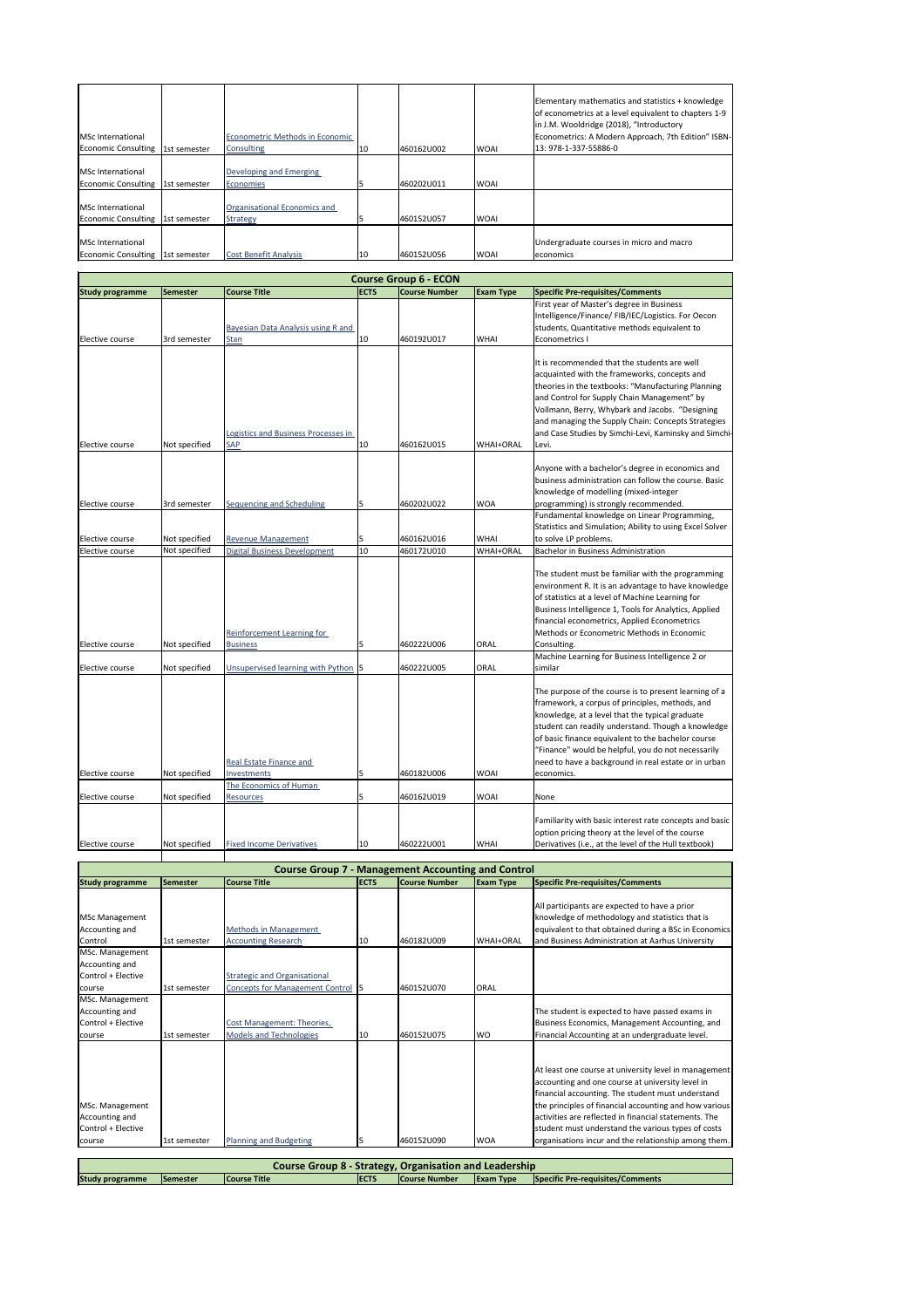|                           |              |                                 |     |            |             | Elementary mathematics and statistics + knowledge                                                 |
|---------------------------|--------------|---------------------------------|-----|------------|-------------|---------------------------------------------------------------------------------------------------|
|                           |              |                                 |     |            |             | of econometrics at a level equivalent to chapters 1-9<br>in J.M. Wooldridge (2018), "Introductory |
| <b>MSc International</b>  |              | Econometric Methods in Economic |     |            |             | Econometrics: A Modern Approach, 7th Edition" ISBN-                                               |
| Economic Consulting       | 1st semester | Consulting                      | 10  | 460162U002 | <b>WOAI</b> | 13: 978-1-337-55886-0                                                                             |
| <b>IMSc International</b> |              | Developing and Emerging         |     |            |             |                                                                                                   |
| Economic Consulting       | 1st semester | Economies                       |     | 460202U011 | <b>WOAI</b> |                                                                                                   |
| <b>MSc International</b>  |              | Organisational Economics and    |     |            |             |                                                                                                   |
| Economic Consulting       | 1st semester | <b>Strategy</b>                 |     | 460152U057 | <b>WOAI</b> |                                                                                                   |
|                           |              |                                 |     |            |             |                                                                                                   |
| <b>IMSc International</b> |              |                                 |     |            |             | Undergraduate courses in micro and macro                                                          |
| Economic Consulting       | 1st semester | <b>Cost Benefit Analysis</b>    | 110 | 460152U056 | <b>WOAI</b> | <b>economics</b>                                                                                  |

|                                                                   |                                |                                                                                 |             | <b>Course Group 6 - ECON</b> |                                 |                                                                                                                                                                                                                                                                                                                                                                                                     |
|-------------------------------------------------------------------|--------------------------------|---------------------------------------------------------------------------------|-------------|------------------------------|---------------------------------|-----------------------------------------------------------------------------------------------------------------------------------------------------------------------------------------------------------------------------------------------------------------------------------------------------------------------------------------------------------------------------------------------------|
| <b>Study programme</b>                                            | <b>Semester</b>                | <b>Course Title</b>                                                             | <b>ECTS</b> | <b>Course Number</b>         | <b>Exam Type</b>                | <b>Specific Pre-requisites/Comments</b>                                                                                                                                                                                                                                                                                                                                                             |
| Elective course                                                   | 3rd semester                   | Bayesian Data Analysis using R and<br><b>Stan</b>                               | 10          | 460192U017                   | <b>WHAI</b>                     | First year of Master's degree in Business<br>Intelligence/Finance/ FIB/IEC/Logistics. For Oecon<br>students, Quantitative methods equivalent to<br><b>Econometrics I</b>                                                                                                                                                                                                                            |
|                                                                   |                                | Logistics and Business Processes in                                             |             |                              |                                 | It is recommended that the students are well<br>acquainted with the frameworks, concepts and<br>theories in the textbooks: "Manufacturing Planning<br>and Control for Supply Chain Management" by<br>Vollmann, Berry, Whybark and Jacobs. "Designing<br>and managing the Supply Chain: Concepts Strategies<br>and Case Studies by Simchi-Levi, Kaminsky and Simchi-                                 |
| Elective course                                                   | Not specified                  | <b>SAP</b>                                                                      | 10          | 460162U015                   | <b>WHAI+ORAL</b>                | Levi.                                                                                                                                                                                                                                                                                                                                                                                               |
| Elective course                                                   | 3rd semester                   | Sequencing and Scheduling                                                       | 5           | 460202U022                   | <b>WOA</b>                      | Anyone with a bachelor's degree in economics and<br>business administration can follow the course. Basic<br>knowledge of modelling (mixed-integer<br>programming) is strongly recommended.<br>Fundamental knowledge on Linear Programming,                                                                                                                                                          |
|                                                                   |                                |                                                                                 |             |                              |                                 | Statistics and Simulation; Ability to using Excel Solver                                                                                                                                                                                                                                                                                                                                            |
| Elective course<br>Elective course                                | Not specified<br>Not specified | <b>Revenue Management</b><br><b>Digital Business Development</b>                | 5<br>10     | 460162U016<br>460172U010     | <b>WHAI</b><br><b>WHAI+ORAL</b> | to solve LP problems.<br><b>Bachelor in Business Administration</b>                                                                                                                                                                                                                                                                                                                                 |
| Elective course                                                   | Not specified                  | Reinforcement Learning for<br><b>Business</b>                                   | 5           | 460222U006                   | <b>ORAL</b>                     | The student must be familiar with the programming<br>environment R. It is an advantage to have knowledge<br>of statistics at a level of Machine Learning for<br>Business Intelligence 1, Tools for Analytics, Applied<br>financial econometrics, Applied Econometrics<br>Methods or Econometric Methods in Economic<br>Consulting.                                                                  |
| Elective course                                                   | Not specified                  | Unsupervised learning with Python 5                                             |             | 460222U005                   | <b>ORAL</b>                     | Machine Learning for Business Intelligence 2 or<br>similar                                                                                                                                                                                                                                                                                                                                          |
| <b>IElective course</b>                                           | Not specified                  | Real Estate Finance and<br>Investments                                          | 5           | 460182U006                   | <b>WOAI</b>                     | The purpose of the course is to present learning of a<br>framework, a corpus of principles, methods, and<br>knowledge, at a level that the typical graduate<br>student can readily understand. Though a knowledge<br>of basic finance equivalent to the bachelor course<br>"Finance" would be helpful, you do not necessarily<br>need to have a background in real estate or in urban<br>economics. |
| Elective course                                                   | Not specified                  | The Economics of Human<br><b>Resources</b>                                      | 5           | 460162U019                   | <b>WOAI</b>                     | None                                                                                                                                                                                                                                                                                                                                                                                                |
| Elective course                                                   | Not specified                  | <b>Fixed Income Derivatives</b>                                                 | 10          | 460222U001                   | <b>WHAI</b>                     | Familiarity with basic interest rate concepts and basic<br>option pricing theory at the level of the course<br>Derivatives (i.e., at the level of the Hull textbook)                                                                                                                                                                                                                                |
|                                                                   |                                | <b>Course Group 7 - Management Accounting and Control</b>                       |             |                              |                                 |                                                                                                                                                                                                                                                                                                                                                                                                     |
| <b>Study programme</b>                                            | <b>Semester</b>                | <b>Course Title</b>                                                             | <b>ECTS</b> | <b>Course Number</b>         | <b>Exam Type</b>                | <b>Specific Pre-requisites/Comments</b>                                                                                                                                                                                                                                                                                                                                                             |
| MSc Management<br>Accounting and<br>Control<br>MSc. Management    | 1st semester                   | <b>Methods in Management</b><br><b>Accounting Research</b>                      | 10          | 460182U009                   | <b>WHAI+ORAL</b>                | All participants are expected to have a prior<br>knowledge of methodology and statistics that is<br>equivalent to that obtained during a BSc in Economics<br>and Business Administration at Aarhus University                                                                                                                                                                                       |
| Accounting and<br>Control + Elective<br>course                    | 1st semester                   | <b>Strategic and Organisational</b><br><b>Concepts for Management Control</b> 5 |             | 460152U070                   | <b>ORAL</b>                     |                                                                                                                                                                                                                                                                                                                                                                                                     |
| MSc. Management<br>Accounting and<br>Control + Elective<br>course | 1st semester                   | Cost Management: Theories,<br><b>Models and Technologies</b>                    | 10          | 460152U075                   | <b>WO</b>                       | The student is expected to have passed exams in<br>Business Economics, Management Accounting, and<br>Financial Accounting at an undergraduate level.                                                                                                                                                                                                                                                |
| MSc. Management<br>Accounting and<br>Control + Elective<br>course | 1st semester                   | <b>Planning and Budgeting</b>                                                   | 5           | 460152U090                   | <b>WOA</b>                      | At least one course at university level in management<br>accounting and one course at university level in<br>financial accounting. The student must understand<br>the principles of financial accounting and how various<br>activities are reflected in financial statements. The<br>student must understand the various types of costs<br>organisations incur and the relationship among them.     |

| <b>Course Group 8 - Strategy, Organisation and Leadership</b> |                  |                     |              |                      |                      |                                         |  |
|---------------------------------------------------------------|------------------|---------------------|--------------|----------------------|----------------------|-----------------------------------------|--|
| <b>Study programme</b>                                        | <b>ISemester</b> | <b>Course Title</b> | <b>IECTS</b> | <b>Course Number</b> | $\epsilon$ Exam Type | <b>Specific Pre-requisites/Comments</b> |  |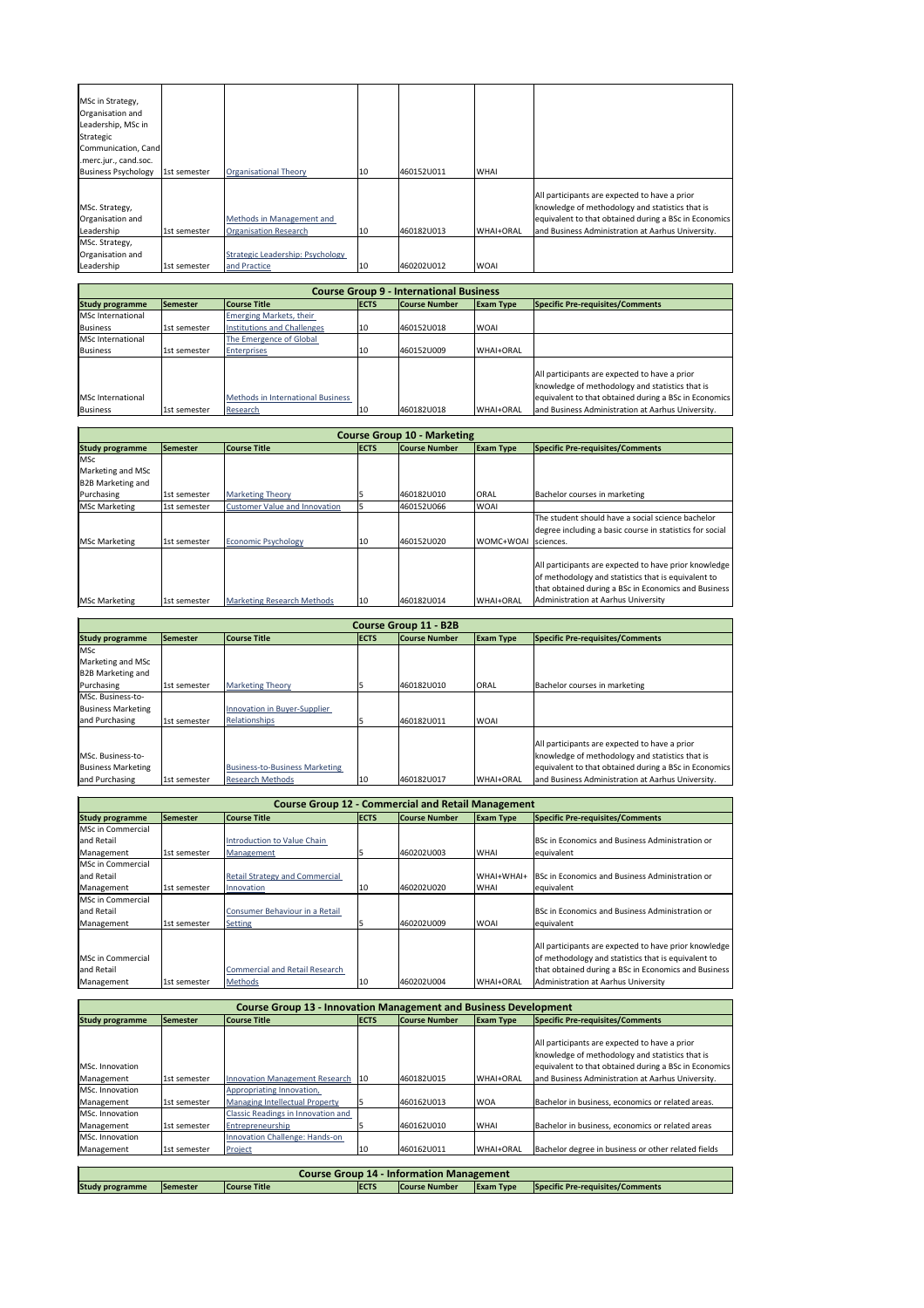| MSc in Strategy,<br>Organisation and<br>Leadership, MSc in<br>Strategic<br>Communication, Cand<br>.merc.jur., cand.soc. |              |                                                           |    |            |                  |                                                                                                                                                                                                                |
|-------------------------------------------------------------------------------------------------------------------------|--------------|-----------------------------------------------------------|----|------------|------------------|----------------------------------------------------------------------------------------------------------------------------------------------------------------------------------------------------------------|
| <b>Business Psychology</b>                                                                                              | 1st semester | <b>Organisational Theory</b>                              | 10 | 460152U011 | <b>WHAI</b>      |                                                                                                                                                                                                                |
| MSc. Strategy,<br>Organisation and<br>Leadership                                                                        | 1st semester | Methods in Management and<br><b>Organisation Research</b> | 10 | 460182U013 | <b>WHAI+ORAL</b> | All participants are expected to have a prior<br>knowledge of methodology and statistics that is<br>equivalent to that obtained during a BSc in Economics<br>and Business Administration at Aarhus University. |
| MSc. Strategy,<br>Organisation and                                                                                      |              | Strategic Leadership: Psychology                          |    |            |                  |                                                                                                                                                                                                                |
| Leadership                                                                                                              | 1st semester | and Practice                                              | 10 | 460202U012 | <b>WOAI</b>      |                                                                                                                                                                                                                |

|                           |              |                                       |            |                  | All participants are expected to have a prior         |
|---------------------------|--------------|---------------------------------------|------------|------------------|-------------------------------------------------------|
| <b>IMSc. Business-to-</b> |              |                                       |            |                  | knowledge of methodology and statistics that is       |
| <b>Business Marketing</b> |              | <b>Business-to-Business Marketing</b> |            |                  | equivalent to that obtained during a BSc in Economics |
| and Purchasing            | 1st semester | <b>Research Methods</b>               | 460182U017 | <b>WHAI+ORAL</b> | and Business Administration at Aarhus University.     |

| <b>Course Group 9 - International Business</b> |              |                                    |             |                      |                  |                                                                                                  |  |  |
|------------------------------------------------|--------------|------------------------------------|-------------|----------------------|------------------|--------------------------------------------------------------------------------------------------|--|--|
| <b>Study programme</b>                         | Semester     | <b>Course Title</b>                | <b>ECTS</b> | <b>Course Number</b> | <b>Exam Type</b> | Specific Pre-requisites/Comments                                                                 |  |  |
| MSc International                              |              | <b>Emerging Markets, their</b>     |             |                      |                  |                                                                                                  |  |  |
| Business                                       | 1st semester | <b>Institutions and Challenges</b> | 10          | 460152U018           | <b>WOAI</b>      |                                                                                                  |  |  |
| MSc International                              |              | The Emergence of Global            |             |                      |                  |                                                                                                  |  |  |
| Business                                       | 1st semester | <b>Enterprises</b>                 | 10          | 460152U009           | <b>WHAI+ORAL</b> |                                                                                                  |  |  |
|                                                |              |                                    |             |                      |                  | All participants are expected to have a prior<br>knowledge of methodology and statistics that is |  |  |
| <b>MSc International</b>                       |              | Methods in International Business  |             |                      |                  | equivalent to that obtained during a BSc in Economics                                            |  |  |
| Business                                       | 1st semester | Research                           | 10          | 460182U018           | <b>WHAI+ORAL</b> | and Business Administration at Aarhus University.                                                |  |  |

|                        | <b>Course Group 10 - Marketing</b> |                                      |              |                      |                  |                                                                                                                                                                      |  |  |  |
|------------------------|------------------------------------|--------------------------------------|--------------|----------------------|------------------|----------------------------------------------------------------------------------------------------------------------------------------------------------------------|--|--|--|
| <b>Study programme</b> | Semester                           | <b>Course Title</b>                  | <b>ECTS</b>  | <b>Course Number</b> | <b>Exam Type</b> | Specific Pre-requisites/Comments                                                                                                                                     |  |  |  |
| <b>MSc</b>             |                                    |                                      |              |                      |                  |                                                                                                                                                                      |  |  |  |
| Marketing and MSc      |                                    |                                      |              |                      |                  |                                                                                                                                                                      |  |  |  |
| B2B Marketing and      |                                    |                                      |              |                      |                  |                                                                                                                                                                      |  |  |  |
| Purchasing             | 1st semester                       | <b>Marketing Theory</b>              |              | 460182U010           | <b>ORAL</b>      | Bachelor courses in marketing                                                                                                                                        |  |  |  |
| <b>MSc Marketing</b>   | 1st semester                       | <b>Customer Value and Innovation</b> |              | 460152U066           | <b>WOAI</b>      |                                                                                                                                                                      |  |  |  |
|                        |                                    |                                      |              |                      |                  | The student should have a social science bachelor<br>degree including a basic course in statistics for social                                                        |  |  |  |
| <b>MSc Marketing</b>   | 1st semester                       | <b>Economic Psychology</b>           | 10           | 460152U020           | WOMC+WOAI        | sciences.                                                                                                                                                            |  |  |  |
|                        |                                    |                                      |              |                      |                  | All participants are expected to have prior knowledge<br>of methodology and statistics that is equivalent to<br>that obtained during a BSc in Economics and Business |  |  |  |
| <b>MSc Marketing</b>   | 1st semester                       | <b>Marketing Research Methods</b>    | $ 10\rangle$ | 460182U014           | <b>WHAI+ORAL</b> | Administration at Aarhus University                                                                                                                                  |  |  |  |

| <b>Course Group 11 - B2B</b> |                 |                              |              |                      |                  |                                  |  |
|------------------------------|-----------------|------------------------------|--------------|----------------------|------------------|----------------------------------|--|
| <b>Study programme</b>       | <b>Semester</b> | <b>Course Title</b>          | <b>IECTS</b> | <b>Course Number</b> | <b>Exam Type</b> | Specific Pre-requisites/Comments |  |
| <b>IMSc</b>                  |                 |                              |              |                      |                  |                                  |  |
| Marketing and MSc            |                 |                              |              |                      |                  |                                  |  |
| B2B Marketing and            |                 |                              |              |                      |                  |                                  |  |
| Purchasing                   | 1st semester    | <b>Marketing Theory</b>      |              | 460182U010           | <b>ORAL</b>      | Bachelor courses in marketing    |  |
| MSc. Business-to-            |                 |                              |              |                      |                  |                                  |  |
| <b>Business Marketing</b>    |                 | Innovation in Buyer-Supplier |              |                      |                  |                                  |  |
| and Purchasing               | 1st semester    | Relationships                |              | 460182U011           | <b>WOAI</b>      |                                  |  |

|                          | <b>Course Group 12 - Commercial and Retail Management</b> |                                       |             |                      |                  |                                                        |  |  |  |
|--------------------------|-----------------------------------------------------------|---------------------------------------|-------------|----------------------|------------------|--------------------------------------------------------|--|--|--|
| <b>Study programme</b>   | <b>Semester</b>                                           | <b>Course Title</b>                   | <b>ECTS</b> | <b>Course Number</b> | <b>Exam Type</b> | Specific Pre-requisites/Comments                       |  |  |  |
| <b>MSc in Commercial</b> |                                                           |                                       |             |                      |                  |                                                        |  |  |  |
| and Retail               |                                                           | Introduction to Value Chain           |             |                      |                  | <b>BSc in Economics and Business Administration or</b> |  |  |  |
| Management               | 1st semester                                              | Management                            |             | 460202U003           | <b>WHAI</b>      | equivalent                                             |  |  |  |
| <b>MSc in Commercial</b> |                                                           |                                       |             |                      |                  |                                                        |  |  |  |
| and Retail               |                                                           | <b>Retail Strategy and Commercial</b> |             |                      | WHAI+WHAI+       | <b>BSc in Economics and Business Administration or</b> |  |  |  |
| Management               | 1st semester                                              | Innovation                            | 10          | 460202U020           | <b>WHAI</b>      | equivalent                                             |  |  |  |
| MSc in Commercial        |                                                           |                                       |             |                      |                  |                                                        |  |  |  |
| and Retail               |                                                           | Consumer Behaviour in a Retail        |             |                      |                  | BSc in Economics and Business Administration or        |  |  |  |
| Management               | 1st semester                                              | <b>Setting</b>                        |             | 460202U009           | <b>WOAI</b>      | equivalent                                             |  |  |  |
|                          |                                                           |                                       |             |                      |                  | All participants are expected to have prior knowledge  |  |  |  |
| MSc in Commercial        |                                                           |                                       |             |                      |                  | of methodology and statistics that is equivalent to    |  |  |  |
| and Retail               |                                                           | <b>Commercial and Retail Research</b> |             |                      |                  | that obtained during a BSc in Economics and Business   |  |  |  |
| Management               | 1st semester                                              | <b>Methods</b>                        | 10          | 460202U004           | <b>WHAI+ORAL</b> | Administration at Aarhus University                    |  |  |  |

|                                       | <b>Course Group 13 - Innovation Management and Business Development</b> |                                                                    |              |                      |                  |                                                                                                                                                                                                                |  |  |  |
|---------------------------------------|-------------------------------------------------------------------------|--------------------------------------------------------------------|--------------|----------------------|------------------|----------------------------------------------------------------------------------------------------------------------------------------------------------------------------------------------------------------|--|--|--|
| <b>Study programme</b>                | Semester                                                                | <b>Course Title</b>                                                | <b>ECTS</b>  | <b>Course Number</b> | <b>Exam Type</b> | Specific Pre-requisites/Comments                                                                                                                                                                               |  |  |  |
| <b>IMSc. Innovation</b><br>Management | 1st semester                                                            | <b>Innovation Management Research</b>                              | $ 10\rangle$ | 460182U015           | <b>WHAI+ORAL</b> | All participants are expected to have a prior<br>knowledge of methodology and statistics that is<br>equivalent to that obtained during a BSc in Economics<br>and Business Administration at Aarhus University. |  |  |  |
| MSc. Innovation<br>Management         | 1st semester                                                            | Appropriating Innovation,<br><b>Managing Intellectual Property</b> |              | 460162U013           | <b>WOA</b>       | Bachelor in business, economics or related areas.                                                                                                                                                              |  |  |  |
| <b>IMSc. Innovation</b><br>Management | 1st semester                                                            | <b>Classic Readings in Innovation and</b><br>Entrepreneurship      |              | 460162U010           | <b>WHAI</b>      | Bachelor in business, economics or related areas                                                                                                                                                               |  |  |  |
| MSc. Innovation<br>Management         | 1st semester                                                            | <b>Innovation Challenge: Hands-on</b><br>Project                   | 10           | 460162U011           | <b>WHAI+ORAL</b> | Bachelor degree in business or other related fields                                                                                                                                                            |  |  |  |

| <b>Course Group 14 - Information Management</b>                                                                                                                  |  |  |  |  |  |  |  |
|------------------------------------------------------------------------------------------------------------------------------------------------------------------|--|--|--|--|--|--|--|
| <b>Study programme</b><br><b>Specific Pre-requisites/Comments</b><br>Course Title<br><b>ECTS</b><br><b>Course Number</b><br><b>ISemester</b><br><b>Exam Type</b> |  |  |  |  |  |  |  |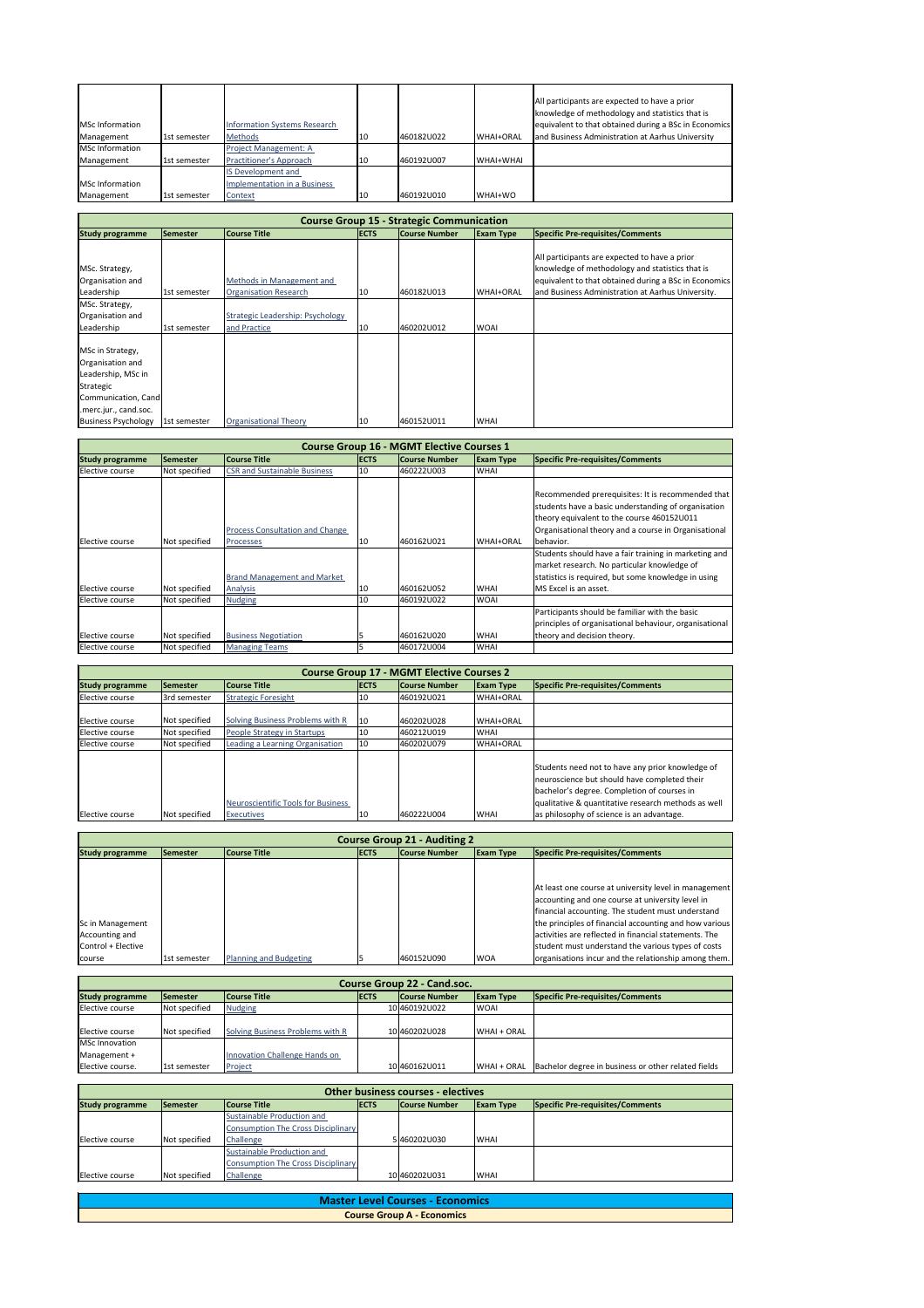| <b>MSc Information</b> |              | <b>Information Systems Research</b> |     |             |                  | All participants are expected to have a prior<br>knowledge of methodology and statistics that is<br>equivalent to that obtained during a BSc in Economics |
|------------------------|--------------|-------------------------------------|-----|-------------|------------------|-----------------------------------------------------------------------------------------------------------------------------------------------------------|
|                        |              |                                     |     |             |                  |                                                                                                                                                           |
| Management             | 1st semester | Methods                             | 10  | 460182U022  | <b>WHAI+ORAL</b> | and Business Administration at Aarhus University                                                                                                          |
| MSc Information        |              | Project Management: A               |     |             |                  |                                                                                                                                                           |
| Management             | 1st semester | <b>Practitioner's Approach</b>      | 110 | 1460192U007 | WHAI+WHAI        |                                                                                                                                                           |
|                        |              | IS Development and                  |     |             |                  |                                                                                                                                                           |
| <b>MSc Information</b> |              | Implementation in a Business        |     |             |                  |                                                                                                                                                           |
| Management             | 1st semester | Context                             | 10  | 460192U010  | WHAI+WO          |                                                                                                                                                           |

| <b>Course Group 15 - Strategic Communication</b>                                                                        |              |                                                           |             |                      |                  |                                                                                                                                                                                                                |  |  |
|-------------------------------------------------------------------------------------------------------------------------|--------------|-----------------------------------------------------------|-------------|----------------------|------------------|----------------------------------------------------------------------------------------------------------------------------------------------------------------------------------------------------------------|--|--|
| <b>Study programme</b>                                                                                                  | Semester     | <b>Course Title</b>                                       | <b>ECTS</b> | <b>Course Number</b> | <b>Exam Type</b> | Specific Pre-requisites/Comments                                                                                                                                                                               |  |  |
| MSc. Strategy,<br>Organisation and<br>Leadership                                                                        | 1st semester | Methods in Management and<br><b>Organisation Research</b> | 10          | 460182U013           | <b>WHAI+ORAL</b> | All participants are expected to have a prior<br>knowledge of methodology and statistics that is<br>equivalent to that obtained during a BSc in Economics<br>and Business Administration at Aarhus University. |  |  |
| MSc. Strategy,<br>Organisation and                                                                                      |              | Strategic Leadership: Psychology                          |             |                      |                  |                                                                                                                                                                                                                |  |  |
| Leadership                                                                                                              | 1st semester | and Practice                                              | 10          | 460202U012           | <b>WOAI</b>      |                                                                                                                                                                                                                |  |  |
| MSc in Strategy,<br>Organisation and<br>Leadership, MSc in<br>Strategic<br>Communication, Cand<br>.merc.jur., cand.soc. |              |                                                           |             |                      |                  |                                                                                                                                                                                                                |  |  |
| <b>Business Psychology</b>                                                                                              | 1st semester | <b>Organisational Theory</b>                              | 10          | 460152U011           | <b>WHAI</b>      |                                                                                                                                                                                                                |  |  |

| Elective course | Not specified | People Strategy in Startups        | 10  | 460212U019  | <b>WHAI</b>      |                                                                                                                                                                                                        |
|-----------------|---------------|------------------------------------|-----|-------------|------------------|--------------------------------------------------------------------------------------------------------------------------------------------------------------------------------------------------------|
| Elective course | Not specified | Leading a Learning Organisation    | 10  | 460202U079  | <b>WHAI+ORAL</b> |                                                                                                                                                                                                        |
|                 |               | Neuroscientific Tools for Business |     |             |                  | Students need not to have any prior knowledge of<br>neuroscience but should have completed their<br>bachelor's degree. Completion of courses in<br>qualitative & quantitative research methods as well |
| Elective course | Not specified | <b>Executives</b>                  | 110 | 1460222U004 | <b>WHAI</b>      | as philosophy of science is an advantage.                                                                                                                                                              |

|                         |                 |                                                                                           |             | <b>Course Group 16 - MGMT Elective Courses 1</b> |                  |                                                                                                                                                                                                                                                                                                                                                                                             |
|-------------------------|-----------------|-------------------------------------------------------------------------------------------|-------------|--------------------------------------------------|------------------|---------------------------------------------------------------------------------------------------------------------------------------------------------------------------------------------------------------------------------------------------------------------------------------------------------------------------------------------------------------------------------------------|
| <b>Study programme</b>  | <b>Semester</b> | <b>Course Title</b>                                                                       | <b>ECTS</b> | <b>Course Number</b>                             | <b>Exam Type</b> | Specific Pre-requisites/Comments                                                                                                                                                                                                                                                                                                                                                            |
| Elective course         | Not specified   | <b>CSR and Sustainable Business</b>                                                       | 10          | 460222U003                                       | <b>WHAI</b>      |                                                                                                                                                                                                                                                                                                                                                                                             |
| <b>IElective course</b> | Not specified   | <b>Process Consultation and Change</b><br>Processes<br><b>Brand Management and Market</b> | 10          | 460162U021                                       | <b>WHAI+ORAL</b> | Recommended prerequisites: It is recommended that<br>students have a basic understanding of organisation<br>theory equivalent to the course 460152U011<br>Organisational theory and a course in Organisational<br>lbehavior.<br>Students should have a fair training in marketing and<br>market research. No particular knowledge of<br>statistics is required, but some knowledge in using |
| Elective course         | Not specified   | <b>Analysis</b>                                                                           | 10          | 460162U052                                       | <b>WHAI</b>      | MS Excel is an asset.                                                                                                                                                                                                                                                                                                                                                                       |
| Elective course         | Not specified   | <b>Nudging</b>                                                                            | 10          | 460192U022                                       | <b>WOAI</b>      |                                                                                                                                                                                                                                                                                                                                                                                             |
| Elective course         | Not specified   | <b>Business Negotiation</b>                                                               |             | 460162U020                                       | <b>WHAI</b>      | Participants should be familiar with the basic<br>principles of organisational behaviour, organisational<br>theory and decision theory.                                                                                                                                                                                                                                                     |
| Elective course         | Not specified   | <b>Managing Teams</b>                                                                     |             | 460172U004                                       | <b>WHAI</b>      |                                                                                                                                                                                                                                                                                                                                                                                             |

| <b>Course Group 17 - MGMT Elective Courses 2</b> |                 |                                  |              |                      |                  |                                  |  |  |
|--------------------------------------------------|-----------------|----------------------------------|--------------|----------------------|------------------|----------------------------------|--|--|
| <b>Study programme</b>                           | <b>Semester</b> | <b>Course Title</b>              | <b>IECTS</b> | <b>Course Number</b> | <b>Exam Type</b> | Specific Pre-requisites/Comments |  |  |
| Elective course                                  | 3rd semester    | <b>Strategic Foresight</b>       | 10           | 1460192U021          | WHAI+ORAL        |                                  |  |  |
|                                                  |                 |                                  |              |                      |                  |                                  |  |  |
| Elective course                                  | Not specified   | Solving Business Problems with R | $ 10\rangle$ | 460202U028           | <b>WHAI+ORAL</b> |                                  |  |  |

|                                                          | <b>Course Group 21 - Auditing 2</b> |                               |             |                      |                  |                                                                                                                                                                                                                                                                                                                                         |  |  |  |
|----------------------------------------------------------|-------------------------------------|-------------------------------|-------------|----------------------|------------------|-----------------------------------------------------------------------------------------------------------------------------------------------------------------------------------------------------------------------------------------------------------------------------------------------------------------------------------------|--|--|--|
| <b>Study programme</b>                                   | <b>Semester</b>                     | <b>Course Title</b>           | <b>ECTS</b> | <b>Course Number</b> | <b>Exam Type</b> | Specific Pre-requisites/Comments                                                                                                                                                                                                                                                                                                        |  |  |  |
|                                                          |                                     |                               |             |                      |                  |                                                                                                                                                                                                                                                                                                                                         |  |  |  |
| Sc in Management<br>Accounting and<br>Control + Elective |                                     |                               |             |                      |                  | At least one course at university level in management<br>accounting and one course at university level in<br>financial accounting. The student must understand<br>the principles of financial accounting and how various<br>activities are reflected in financial statements. The<br>student must understand the various types of costs |  |  |  |
| <b>course</b>                                            | 1st semester                        | <b>Planning and Budgeting</b> |             | 460152U090           | <b>WOA</b>       | organisations incur and the relationship among them.                                                                                                                                                                                                                                                                                    |  |  |  |

| <b>Course Group 22 - Cand.soc.</b> |                 |                                  |             |                      |                  |                                                     |  |  |
|------------------------------------|-----------------|----------------------------------|-------------|----------------------|------------------|-----------------------------------------------------|--|--|
| <b>Study programme</b>             | <b>Semester</b> | <b>Course Title</b>              | <b>ECTS</b> | <b>Course Number</b> | <b>Exam Type</b> | Specific Pre-requisites/Comments                    |  |  |
| Elective course                    | Not specified   | <b>Nudging</b>                   |             | 10 4601920022        | <b>WOAI</b>      |                                                     |  |  |
|                                    |                 |                                  |             |                      |                  |                                                     |  |  |
| Elective course                    | Not specified   | Solving Business Problems with R |             | 10 4602020028        | WHAI + ORAL      |                                                     |  |  |
| <b>MSc Innovation</b>              |                 |                                  |             |                      |                  |                                                     |  |  |
| Management +                       |                 | Innovation Challenge Hands on    |             |                      |                  |                                                     |  |  |
| Elective course.                   | 1st semester    | Project                          |             | 10 460 162 00 11     | WHAI + ORAL      | Bachelor degree in business or other related fields |  |  |

| <b>Other business courses - electives</b>                                                                                                                        |               |                                           |  |               |             |  |  |  |
|------------------------------------------------------------------------------------------------------------------------------------------------------------------|---------------|-------------------------------------------|--|---------------|-------------|--|--|--|
| <b>ECTS</b><br>Specific Pre-requisites/Comments<br><b>Course Title</b><br><b>Course Number</b><br><b>Study programme</b><br><b>Exam Type</b><br><b>ISemester</b> |               |                                           |  |               |             |  |  |  |
|                                                                                                                                                                  |               | <b>Sustainable Production and</b>         |  |               |             |  |  |  |
|                                                                                                                                                                  |               | <b>Consumption The Cross Disciplinary</b> |  |               |             |  |  |  |
| Elective course                                                                                                                                                  | Not specified | Challenge                                 |  | 5460202U030   | <b>WHAI</b> |  |  |  |
|                                                                                                                                                                  |               | <b>Sustainable Production and</b>         |  |               |             |  |  |  |
|                                                                                                                                                                  |               | <b>Consumption The Cross Disciplinary</b> |  |               |             |  |  |  |
| Elective course                                                                                                                                                  | Not specified | Challenge                                 |  | 10 4602020031 | <b>WHAI</b> |  |  |  |

| Master Level Courses - Economics  |
|-----------------------------------|
| <b>Course Group A - Economics</b> |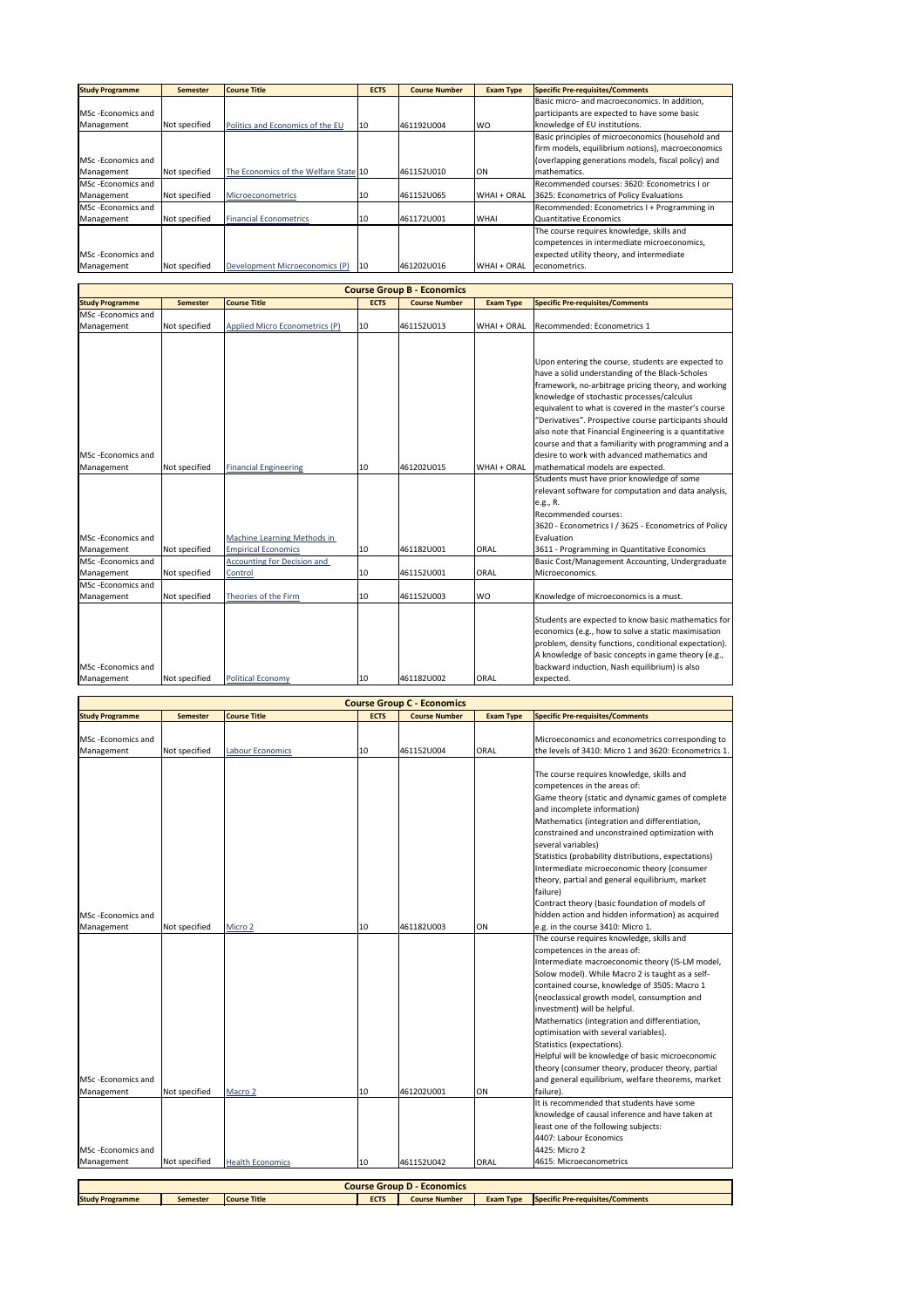| <b>Study Programme</b>      | <b>Semester</b> | <b>Course Title</b>                   | <b>ECTS</b>     | <b>Course Number</b> | <b>Exam Type</b> | <b>Specific Pre-requisites/Comments</b>             |
|-----------------------------|-----------------|---------------------------------------|-----------------|----------------------|------------------|-----------------------------------------------------|
|                             |                 |                                       |                 |                      |                  | Basic micro- and macroeconomics. In addition,       |
| <b>I</b> MSc -Economics and |                 |                                       |                 |                      |                  | participants are expected to have some basic        |
| Management                  | Not specified   | Politics and Economics of the EU      | 10              | 461192U004           | <b>WO</b>        | knowledge of EU institutions.                       |
|                             |                 |                                       |                 |                      |                  | Basic principles of microeconomics (household and   |
|                             |                 |                                       |                 |                      |                  | firm models, equilibrium notions), macroeconomics   |
| <b>I</b> MSc -Economics and |                 |                                       |                 |                      |                  | (overlapping generations models, fiscal policy) and |
| Management                  | Not specified   | The Economics of the Welfare State 10 |                 | 461152U010           | ON               | Imathematics.                                       |
| <b>IMSc</b> -Economics and  |                 |                                       |                 |                      |                  | Recommended courses: 3620: Econometrics I or        |
| Management                  | Not specified   | <b>Microeconometrics</b>              | 10              | 461152U065           | WHAI + ORAL      | 3625: Econometrics of Policy Evaluations            |
| <b>I</b> MSc -Economics and |                 |                                       |                 |                      |                  | Recommended: Econometrics I + Programming in        |
| Management                  | Not specified   | <b>Financial Econometrics</b>         | 10 <sup>°</sup> | 461172U001           | <b>WHAI</b>      | Quantitative Economics                              |
|                             |                 |                                       |                 |                      |                  | The course requires knowledge, skills and           |
|                             |                 |                                       |                 |                      |                  | competences in intermediate microeconomics,         |
| <b>IMSc</b> -Economics and  |                 |                                       |                 |                      |                  | expected utility theory, and intermediate           |
| Management                  | Not specified   | Development Microeconomics (P)        | 10              | 461202U016           | WHAI + ORAL      | econometrics.                                       |

|                                         | <b>Course Group B - Economics</b> |                                                           |             |                      |                  |                                                                                                                                                                                                                                                                                                                                                                                                                                                                                                                                                                                                                                          |  |  |  |
|-----------------------------------------|-----------------------------------|-----------------------------------------------------------|-------------|----------------------|------------------|------------------------------------------------------------------------------------------------------------------------------------------------------------------------------------------------------------------------------------------------------------------------------------------------------------------------------------------------------------------------------------------------------------------------------------------------------------------------------------------------------------------------------------------------------------------------------------------------------------------------------------------|--|--|--|
| <b>Study Programme</b>                  | <b>Semester</b>                   | <b>Course Title</b>                                       | <b>ECTS</b> | <b>Course Number</b> | <b>Exam Type</b> | <b>Specific Pre-requisites/Comments</b>                                                                                                                                                                                                                                                                                                                                                                                                                                                                                                                                                                                                  |  |  |  |
| MSc-Economics and                       |                                   |                                                           |             |                      |                  |                                                                                                                                                                                                                                                                                                                                                                                                                                                                                                                                                                                                                                          |  |  |  |
| Management                              | Not specified                     | Applied Micro Econometrics (P)                            | 10          | 461152U013           | WHAI + ORAL      | Recommended: Econometrics 1                                                                                                                                                                                                                                                                                                                                                                                                                                                                                                                                                                                                              |  |  |  |
| MSc-Economics and<br>Management         | Not specified                     | <b>Financial Engineering</b>                              | 10          | 461202U015           | WHAI + ORAL      | Upon entering the course, students are expected to<br>have a solid understanding of the Black-Scholes<br>framework, no-arbitrage pricing theory, and working<br>knowledge of stochastic processes/calculus<br>equivalent to what is covered in the master's course<br>"Derivatives". Prospective course participants should<br>also note that Financial Engineering is a quantitative<br>course and that a familiarity with programming and a<br>desire to work with advanced mathematics and<br>mathematical models are expected.<br>Students must have prior knowledge of some<br>relevant software for computation and data analysis, |  |  |  |
| <b>IMSc-Economics and</b><br>Management | Not specified                     | Machine Learning Methods in<br><b>Empirical Economics</b> | 10          | 461182U001           | <b>ORAL</b>      | e.g., R.<br>Recommended courses:<br>3620 - Econometrics I / 3625 - Econometrics of Policy<br>Evaluation<br>3611 - Programming in Quantitative Economics                                                                                                                                                                                                                                                                                                                                                                                                                                                                                  |  |  |  |
| MSc-Economics and                       |                                   | <b>Accounting for Decision and</b>                        |             |                      |                  | Basic Cost/Management Accounting, Undergraduate                                                                                                                                                                                                                                                                                                                                                                                                                                                                                                                                                                                          |  |  |  |
| Management                              | Not specified                     | Control                                                   | 10          | 461152U001           | ORAL             | Microeconomics.                                                                                                                                                                                                                                                                                                                                                                                                                                                                                                                                                                                                                          |  |  |  |
| MSc-Economics and<br>Management         | Not specified                     | Theories of the Firm                                      | 10          | 461152U003           | <b>WO</b>        | Knowledge of microeconomics is a must.                                                                                                                                                                                                                                                                                                                                                                                                                                                                                                                                                                                                   |  |  |  |
| <b>IMSc-Economics and</b><br>Management | Not specified                     | <b>Political Economy</b>                                  | 10          | 461182U002           | <b>ORAL</b>      | Students are expected to know basic mathematics for<br>economics (e.g., how to solve a static maximisation<br>problem, density functions, conditional expectation).<br>A knowledge of basic concepts in game theory (e.g.,<br>backward induction, Nash equilibrium) is also<br>expected.                                                                                                                                                                                                                                                                                                                                                 |  |  |  |

| MSc-Economics and                       |               |                         |    |            |             | Microeconomics and econometrics corresponding to                                                                                                                                                                                                                                                                                                                                                                                                                                                                                                                                                                   |
|-----------------------------------------|---------------|-------------------------|----|------------|-------------|--------------------------------------------------------------------------------------------------------------------------------------------------------------------------------------------------------------------------------------------------------------------------------------------------------------------------------------------------------------------------------------------------------------------------------------------------------------------------------------------------------------------------------------------------------------------------------------------------------------------|
| Management                              | Not specified | <b>Labour Economics</b> | 10 | 461152U004 | <b>ORAL</b> | the levels of 3410: Micro 1 and 3620: Econometrics 1.                                                                                                                                                                                                                                                                                                                                                                                                                                                                                                                                                              |
| <b>IMSc</b> - Economics and             |               |                         |    |            |             | The course requires knowledge, skills and<br>competences in the areas of:<br>Game theory (static and dynamic games of complete<br>and incomplete information)<br>Mathematics (integration and differentiation,<br>constrained and unconstrained optimization with<br>several variables)<br>Statistics (probability distributions, expectations)<br>Intermediate microeconomic theory (consumer<br>theory, partial and general equilibrium, market<br>failure)<br>Contract theory (basic foundation of models of<br>hidden action and hidden information) as acquired                                               |
| Management                              | Not specified | Micro 2                 | 10 | 461182U003 | ON          | e.g. in the course 3410: Micro 1.                                                                                                                                                                                                                                                                                                                                                                                                                                                                                                                                                                                  |
| <b>IMSc-Economics and</b><br>Management | Not specified | Macro 2                 | 10 | 461202U001 | ON          | The course requires knowledge, skills and<br>competences in the areas of:<br>Intermediate macroeconomic theory (IS-LM model,<br>Solow model). While Macro 2 is taught as a self-<br>contained course, knowledge of 3505: Macro 1<br>(neoclassical growth model, consumption and<br>investment) will be helpful.<br>Mathematics (integration and differentiation,<br>optimisation with several variables).<br>Statistics (expectations).<br>Helpful will be knowledge of basic microeconomic<br>theory (consumer theory, producer theory, partial<br>and general equilibrium, welfare theorems, market<br>failure). |
|                                         |               |                         |    |            |             | It is recommended that students have some<br>knowledge of causal inference and have taken at<br>least one of the following subjects:<br>4407: Labour Economics                                                                                                                                                                                                                                                                                                                                                                                                                                                     |
| MSc-Economics and                       |               |                         |    |            |             | 4425: Micro 2                                                                                                                                                                                                                                                                                                                                                                                                                                                                                                                                                                                                      |
| Management                              | Not specified | <b>Health Economics</b> | 10 | 461152U042 | ORAL        | 4615: Microeconometrics                                                                                                                                                                                                                                                                                                                                                                                                                                                                                                                                                                                            |

| <b>Course Group C</b><br>- Economics                                                                                                                            |  |  |  |  |  |  |
|-----------------------------------------------------------------------------------------------------------------------------------------------------------------|--|--|--|--|--|--|
| <b>ECTS</b><br><b>Specific Pre-requisites/Comments</b><br><b>Course Title</b><br><b>Study Programme</b><br><b>Course Number</b><br><b>Exam Type</b><br>Semester |  |  |  |  |  |  |
|                                                                                                                                                                 |  |  |  |  |  |  |

| <b>Course Group D - Economics</b> |          |                     |             |                      |                  |                                         |  |
|-----------------------------------|----------|---------------------|-------------|----------------------|------------------|-----------------------------------------|--|
| <b>Study Programme</b>            | Semester | <b>Course Title</b> | <b>ECTS</b> | <b>Course Number</b> | <b>Exam Type</b> | <b>Specific Pre-requisites/Comments</b> |  |